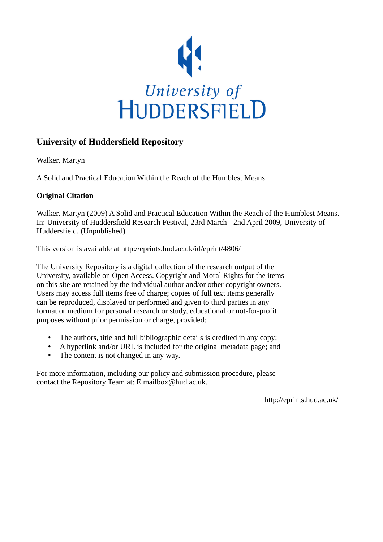

## **University of Huddersfield Repository**

Walker, Martyn

A Solid and Practical Education Within the Reach of the Humblest Means

## **Original Citation**

Walker, Martyn (2009) A Solid and Practical Education Within the Reach of the Humblest Means. In: University of Huddersfield Research Festival, 23rd March - 2nd April 2009, University of Huddersfield. (Unpublished)

This version is available at http://eprints.hud.ac.uk/id/eprint/4806/

The University Repository is a digital collection of the research output of the University, available on Open Access. Copyright and Moral Rights for the items on this site are retained by the individual author and/or other copyright owners. Users may access full items free of charge; copies of full text items generally can be reproduced, displayed or performed and given to third parties in any format or medium for personal research or study, educational or not-for-profit purposes without prior permission or charge, provided:

- The authors, title and full bibliographic details is credited in any copy;
- A hyperlink and/or URL is included for the original metadata page; and
- The content is not changed in any way.

For more information, including our policy and submission procedure, please contact the Repository Team at: E.mailbox@hud.ac.uk.

http://eprints.hud.ac.uk/